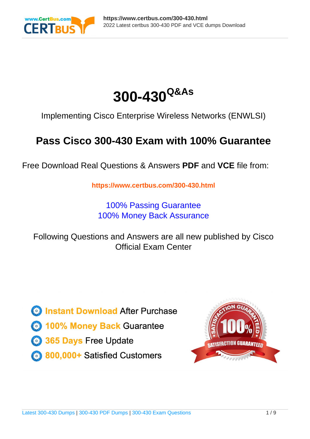

# **300-430Q&As**

Implementing Cisco Enterprise Wireless Networks (ENWLSI)

## **Pass Cisco 300-430 Exam with 100% Guarantee**

Free Download Real Questions & Answers **PDF** and **VCE** file from:

**https://www.certbus.com/300-430.html**

100% Passing Guarantee 100% Money Back Assurance

Following Questions and Answers are all new published by Cisco Official Exam Center

**C** Instant Download After Purchase

- **83 100% Money Back Guarantee**
- 365 Days Free Update
- 800,000+ Satisfied Customers

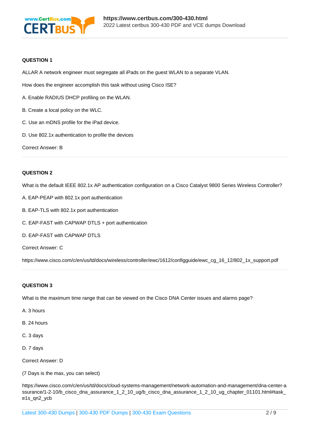

#### **QUESTION 1**

ALLAR A network engineer must segregate all iPads on the guest WLAN to a separate VLAN.

How does the engineer accomplish this task without using Cisco ISE?

- A. Enable RADIUS DHCP profiling on the WLAN.
- B. Create a local policy on the WLC.
- C. Use an mDNS profile for the iPad device.
- D. Use 802.1x authentication to profile the devices

Correct Answer: B

#### **QUESTION 2**

What is the default IEEE 802.1x AP authentication configuration on a Cisco Catalyst 9800 Series Wireless Controller?

- A. EAP-PEAP with 802.1x port authentication
- B. EAP-TLS with 802.1x port authentication
- C. EAP-FAST with CAPWAP DTLS + port authentication
- D. EAP-FAST with CAPWAP DTLS
- Correct Answer: C

https://www.cisco.com/c/en/us/td/docs/wireless/controller/ewc/1612/configguide/ewc\_cg\_16\_12/802\_1x\_support.pdf

#### **QUESTION 3**

What is the maximum time range that can be viewed on the Cisco DNA Center issues and alarms page?

- A. 3 hours
- B. 24 hours
- C. 3 days
- D. 7 days
- Correct Answer: D
- (7 Days is the max, you can select)

https://www.cisco.com/c/en/us/td/docs/cloud-systems-management/network-automation-and-management/dna-center-a ssurance/1-2-10/b\_cisco\_dna\_assurance\_1\_2\_10\_ug/b\_cisco\_dna\_assurance\_1\_2\_10\_ug\_chapter\_01101.html#task\_ e1s\_qn2\_ycb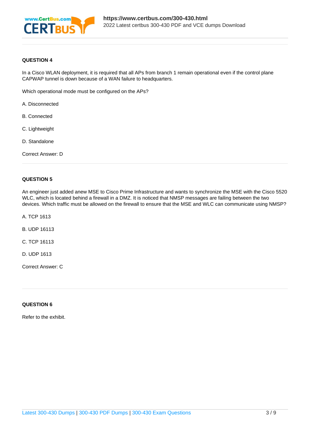

#### **QUESTION 4**

In a Cisco WLAN deployment, it is required that all APs from branch 1 remain operational even if the control plane CAPWAP tunnel is down because of a WAN failure to headquarters.

Which operational mode must be configured on the APs?

- A. Disconnected
- B. Connected
- C. Lightweight
- D. Standalone
- Correct Answer: D

#### **QUESTION 5**

An engineer just added anew MSE to Cisco Prime Infrastructure and wants to synchronize the MSE with the Cisco 5520 WLC, which is located behind a firewall in a DMZ. It is noticed that NMSP messages are failing between the two devices. Which traffic must be allowed on the firewall to ensure that the MSE and WLC can communicate using NMSP?

- A. TCP 1613
- B. UDP 16113
- C. TCP 16113
- D. UDP 1613

Correct Answer: C

#### **QUESTION 6**

Refer to the exhibit.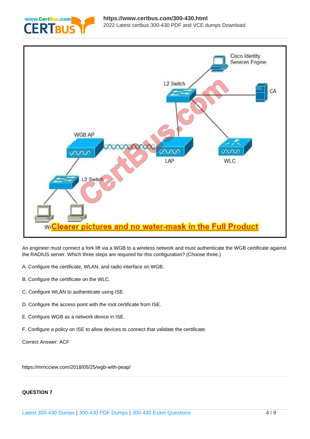



An engineer must connect a fork lift via a WGB to a wireless network and must authenticate the WGB certificate against the RADIUS server. Which three steps are required for this configuration? (Choose three.)

- A. Configure the certificate, WLAN, and radio interface on WGB.
- B. Configure the certificate on the WLC.
- C. Configure WLAN to authenticate using ISE.
- D. Configure the access point with the root certificate from ISE.
- E. Configure WGB as a network device in ISE.
- F. Configure a policy on ISE to allow devices to connect that validate the certificate.

Correct Answer: ACF

https://mrncciew.com/2018/05/25/wgb-with-peap/

#### **QUESTION 7**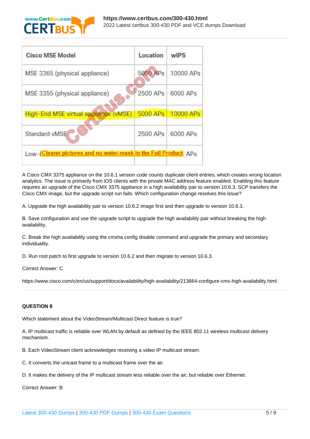

| <b>Cisco MSE Model</b>                                          | Location    | wIPS      |
|-----------------------------------------------------------------|-------------|-----------|
| MSE 3365 (physical appliance)                                   | 5000<br>APs | 10000 APs |
| MSE 3355 (physical appliance)                                   | 2500 APs    | 6000 APs  |
| <b>High-End MSE virtual appliance (vMSE)</b>                    | 5000 APs    | 10000 APs |
| Standard vMSE                                                   | 2500 APs    | 6000 APs  |
| Low-[Clearer pictures and no water-mask in the Full Product APs |             |           |

A Cisco CMX 3375 appliance on the 10.6.1 version code counts duplicate client entries, which creates wrong location analytics. The issue is primarily from iOS clients with the private MAC address feature enabled. Enabling this feature requires an upgrade of the Cisco CMX 3375 appliance in a high availability pair to version 10.6.3. SCP transfers the Cisco CMX image, but the upgrade script run fails. Which configuration change resolves this issue?

A. Upgrade the high availability pair to version 10.6.2 image first and then upgrade to version 10.6.3.

B. Save configuration and use the upgrade script to upgrade the high availability pair without breaking the high availability.

C. Break the high availability using the cmxha config disable command and upgrade the primary and secondary individuality.

D. Run root patch to first upgrade to version 10.6.2 and then migrate to version 10.6.3.

Correct Answer: C

https://www.cisco.com/c/en/us/support/docs/availability/high-availability/213664-configure-cmx-high-availability.html

#### **QUESTION 8**

Which statement about the VideoStream/Multicast Direct feature is true?

A. IP multicast traffic is reliable over WLAN by default as defined by the IEEE 802.11 wireless multicast delivery mechanism.

B. Each VideoStream client acknowledges receiving a video IP multicast stream.

C. It converts the unicast frame to a multicast frame over the air.

D. It makes the delivery of the IP multicast stream less reliable over the air, but reliable over Ethernet.

Correct Answer: B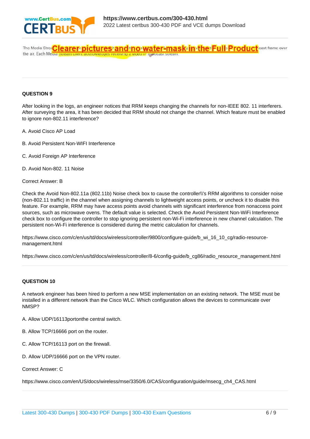

The Media Stree Clearer®pictures®and®no®water=mask®invthe®Full®Product cast frame over the air. Each Meula otrea receiving a video iP righticast stream

#### **QUESTION 9**

After looking in the logs, an engineer notices that RRM keeps changing the channels for non-IEEE 802. 11 interferers. After surveying the area, it has been decided that RRM should not change the channel. Which feature must be enabled to ignore non-802.11 interference?

- A. Avoid Cisco AP Load
- B. Avoid Persistent Non-WIFI Interference
- C. Avoid Foreign AP Interference
- D. Avoid Non-802. 11 Noise

Correct Answer: B

Check the Avoid Non-802.11a (802.11b) Noise check box to cause the controller\\'s RRM algorithms to consider noise (non-802.11 traffic) in the channel when assigning channels to lightweight access points, or uncheck it to disable this feature. For example, RRM may have access points avoid channels with significant interference from nonaccess point sources, such as microwave ovens. The default value is selected. Check the Avoid Persistent Non-WiFi Interference check box to configure the controller to stop ignoring persistent non-Wi-Fi interference in new channel calculation. The persistent non-Wi-Fi interference is considered during the metric calculation for channels.

https://www.cisco.com/c/en/us/td/docs/wireless/controller/9800/configure-guide/b\_wi\_16\_10\_cg/radio-resourcemanagement.html

https://www.cisco.com/c/en/us/td/docs/wireless/controller/8-6/config-guide/b\_cg86/radio\_resource\_management.html

#### **QUESTION 10**

A network engineer has been hired to perform a new MSE implementation on an existing network. The MSE must be installed in a different network than the Cisco WLC. Which configuration allows the devices to communicate over NMSP?

- A. Allow UDP/16113portonthe central switch.
- B. Allow TCP/16666 port on the router.
- C. Allow TCP/16113 port on the firewall.
- D. Allow UDP/16666 port on the VPN router.

Correct Answer: C

https://www.cisco.com/en/US/docs/wireless/mse/3350/6.0/CAS/configuration/guide/msecg\_ch4\_CAS.html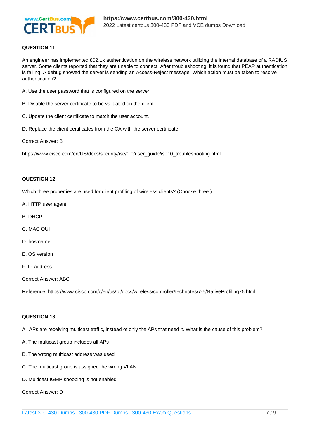

#### **QUESTION 11**

An engineer has implemented 802.1x authentication on the wireless network utilizing the internal database of a RADIUS server. Some clients reported that they are unable to connect. After troubleshooting, it is found that PEAP authentication is failing. A debug showed the server is sending an Access-Reject message. Which action must be taken to resolve authentication?

- A. Use the user password that is configured on the server.
- B. Disable the server certificate to be validated on the client.
- C. Update the client certificate to match the user account.
- D. Replace the client certificates from the CA with the server certificate.

Correct Answer: B

https://www.cisco.com/en/US/docs/security/ise/1.0/user\_guide/ise10\_troubleshooting.html

#### **QUESTION 12**

Which three properties are used for client profiling of wireless clients? (Choose three.)

- A. HTTP user agent
- B. DHCP
- C. MAC OUI
- D. hostname
- E. OS version
- F. IP address

Correct Answer: ABC

Reference: https://www.cisco.com/c/en/us/td/docs/wireless/controller/technotes/7-5/NativeProfiling75.html

#### **QUESTION 13**

All APs are receiving multicast traffic, instead of only the APs that need it. What is the cause of this problem?

- A. The multicast group includes all APs
- B. The wrong multicast address was used
- C. The multicast group is assigned the wrong VLAN
- D. Multicast IGMP snooping is not enabled

#### Correct Answer: D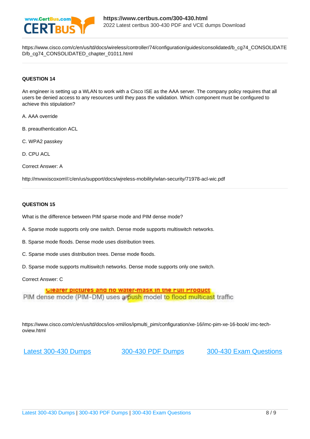

https://www.cisco.com/c/en/us/td/docs/wireless/controller/74/configuration/guides/consolidated/b\_cg74\_CONSOLIDATE D/b\_cg74\_CONSOLIDATED\_chapter\_01011.html

#### **QUESTION 14**

An engineer is setting up a WLAN to work with a Cisco ISE as the AAA server. The company policy requires that all users be denied access to any resources until they pass the validation. Which component must be configured to achieve this stipulation?

A. AAA override

- B. preauthentication ACL
- C. WPA2 passkey

D. CPU ACL

```
Correct Answer: A
```
http://mvwxiscoxom\\'c/en/us/support/docs/wjreless-rnobility/wlan-security/71978-acl-wic.pdf

#### **QUESTION 15**

What is the difference between PIM sparse mode and PIM dense mode?

- A. Sparse mode supports only one switch. Dense mode supports multiswitch networks.
- B. Sparse mode floods. Dense mode uses distribution trees.
- C. Sparse mode uses distribution trees. Dense mode floods.
- D. Sparse mode supports multiswitch networks. Dense mode supports only one switch.

Correct Answer: C

Clearer pictures and no water-mask in the Full Product PIM dense mode (PIM-DM) uses a push model to flood multicast traffic

https://www.cisco.com/c/en/us/td/docs/ios-xml/ios/ipmulti\_pim/configuration/xe-16/imc-pim-xe-16-book/ imc-techoview.html

[Latest 300-430 Dumps](https://www.certbus.com/300-430.html) [300-430 PDF Dumps](https://www.certbus.com/300-430.html) [300-430 Exam Questions](https://www.certbus.com/300-430.html)